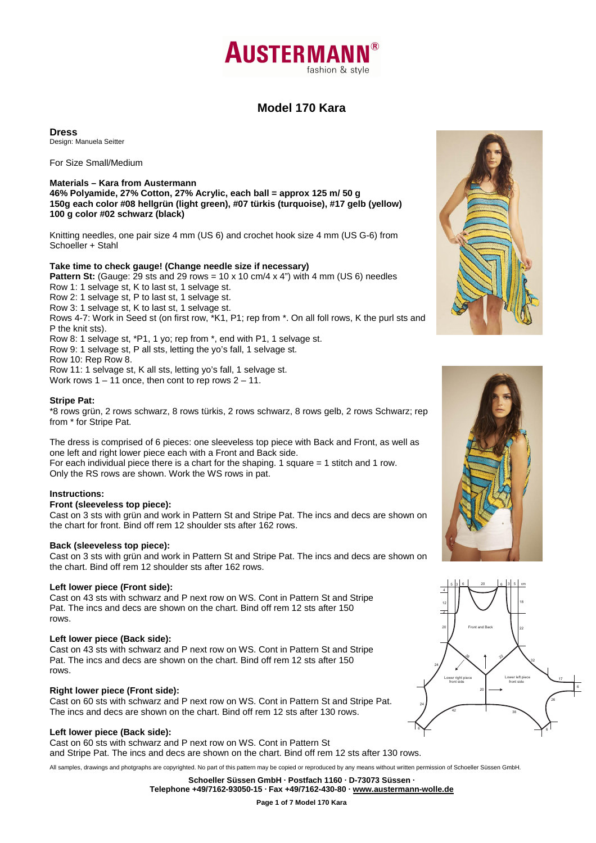

# **Model 170 Kara**

**Dress** 

Design: Manuela Seitter

For Size Small/Medium

# **Materials – Kara from Austermann**

**46% Polyamide, 27% Cotton, 27% Acrylic, each ball = approx 125 m/ 50 g 150g each color #08 hellgrün (light green), #07 türkis (turquoise), #17 gelb (yellow) 100 g color #02 schwarz (black)** 

Knitting needles, one pair size 4 mm (US 6) and crochet hook size 4 mm (US G-6) from Schoeller + Stahl

## **Take time to check gauge! (Change needle size if necessary)**

**Pattern St:** (Gauge: 29 sts and 29 rows =  $10 \times 10$  cm/4  $\times$  4") with 4 mm (US 6) needles Row 1: 1 selvage st, K to last st, 1 selvage st.

Row 2: 1 selvage st, P to last st, 1 selvage st.

Row 3: 1 selvage st, K to last st, 1 selvage st.

Rows 4-7: Work in Seed st (on first row, \*K1, P1; rep from \*. On all foll rows, K the purl sts and P the knit sts).

Row 8: 1 selvage st, \*P1, 1 yo; rep from \*, end with P1, 1 selvage st.

Row 9: 1 selvage st, P all sts, letting the yo's fall, 1 selvage st.

Row 10: Rep Row 8.

Row 11: 1 selvage st, K all sts, letting yo's fall, 1 selvage st.

Work rows  $1 - 11$  once, then cont to rep rows  $2 - 11$ .

### **Stripe Pat:**

\*8 rows grün, 2 rows schwarz, 8 rows türkis, 2 rows schwarz, 8 rows gelb, 2 rows Schwarz; rep from \* for Stripe Pat.

The dress is comprised of 6 pieces: one sleeveless top piece with Back and Front, as well as one left and right lower piece each with a Front and Back side. For each individual piece there is a chart for the shaping. 1 square  $= 1$  stitch and 1 row. Only the RS rows are shown. Work the WS rows in pat.

## **Instructions:**

#### **Front (sleeveless top piece):**

Cast on 3 sts with grün and work in Pattern St and Stripe Pat. The incs and decs are shown on the chart for front. Bind off rem 12 shoulder sts after 162 rows.

#### **Back (sleeveless top piece):**

Cast on 3 sts with grün and work in Pattern St and Stripe Pat. The incs and decs are shown on the chart. Bind off rem 12 shoulder sts after 162 rows.

#### **Left lower piece (Front side):**

Cast on 43 sts with schwarz and P next row on WS. Cont in Pattern St and Stripe Pat. The incs and decs are shown on the chart. Bind off rem 12 sts after 150 rows.

#### **Left lower piece (Back side):**

Cast on 43 sts with schwarz and P next row on WS. Cont in Pattern St and Stripe Pat. The incs and decs are shown on the chart. Bind off rem 12 sts after 150 rows.

## **Right lower piece (Front side):**

Cast on 60 sts with schwarz and P next row on WS. Cont in Pattern St and Stripe Pat. The incs and decs are shown on the chart. Bind off rem 12 sts after 130 rows.

## **Left lower piece (Back side):**

Cast on 60 sts with schwarz and P next row on WS. Cont in Pattern St and Stripe Pat. The incs and decs are shown on the chart. Bind off rem 12 sts after 130 rows.

All samples, drawings and photgraphs are copyrighted. No part of this pattern may be copied or reproduced by any means without written permission of Schoeller Süssen GmbH.

**Schoeller Süssen GmbH · Postfach 1160 · D-73073 Süssen · Telephone +49/7162-93050-15 · Fax +49/7162-430-80 · www.austermann-wolle.de**







**Page 1 of 7 Model 170 Kara**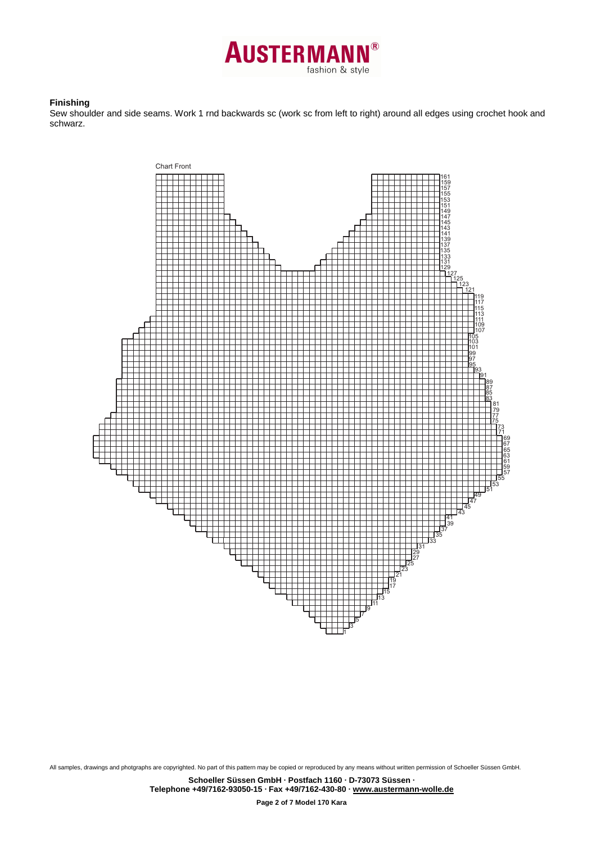

### **Finishing**

Sew shoulder and side seams. Work 1 rnd backwards sc (work sc from left to right) around all edges using crochet hook and schwarz.



All samples, drawings and photgraphs are copyrighted. No part of this pattern may be copied or reproduced by any means without written permission of Schoeller Süssen GmbH.

**Page 2 of 7 Model 170 Kara**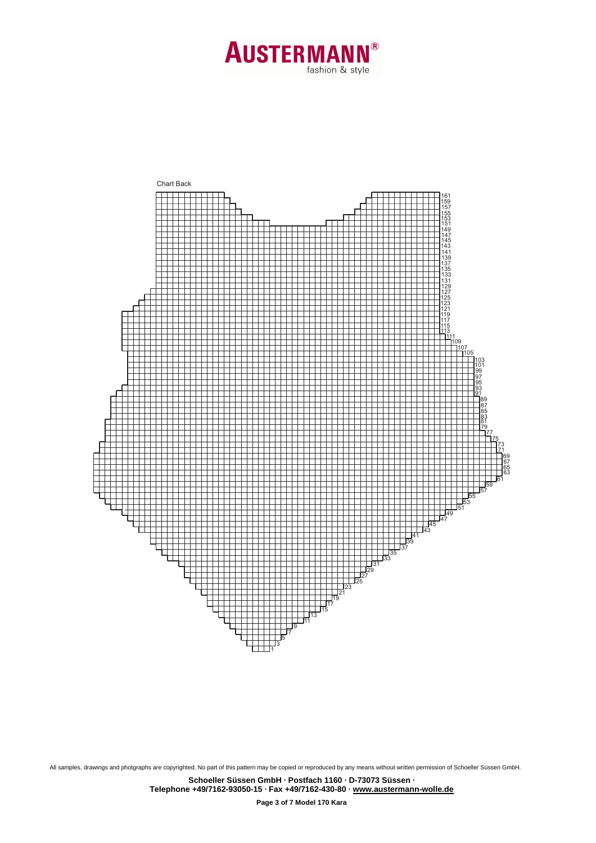



**Schoeller Süssen GmbH · Postfach 1160 · D-73073 Süssen · Telephone +49/7162-93050-15 · Fax +49/7162-430-80 · www.austermann-wolle.de**

**Page 3 of 7 Model 170 Kara**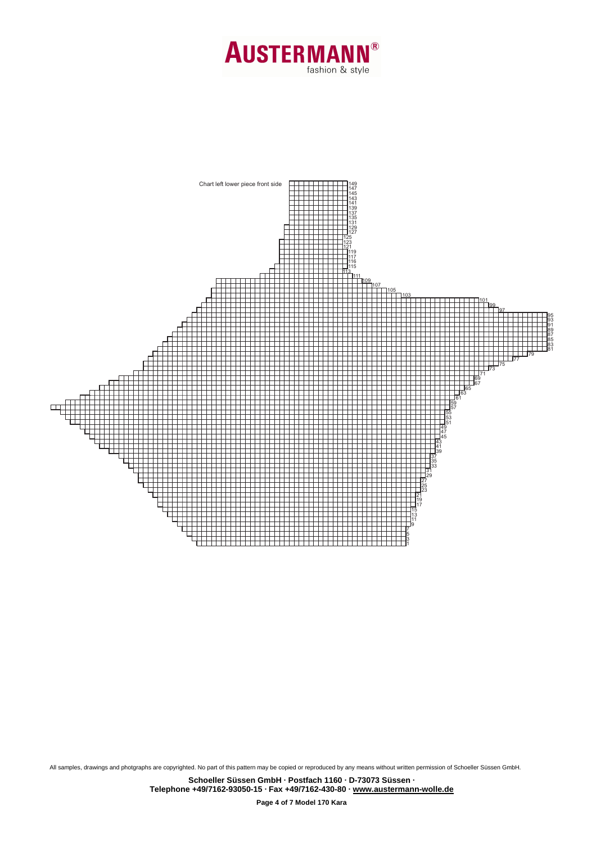



**Page 4 of 7 Model 170 Kara**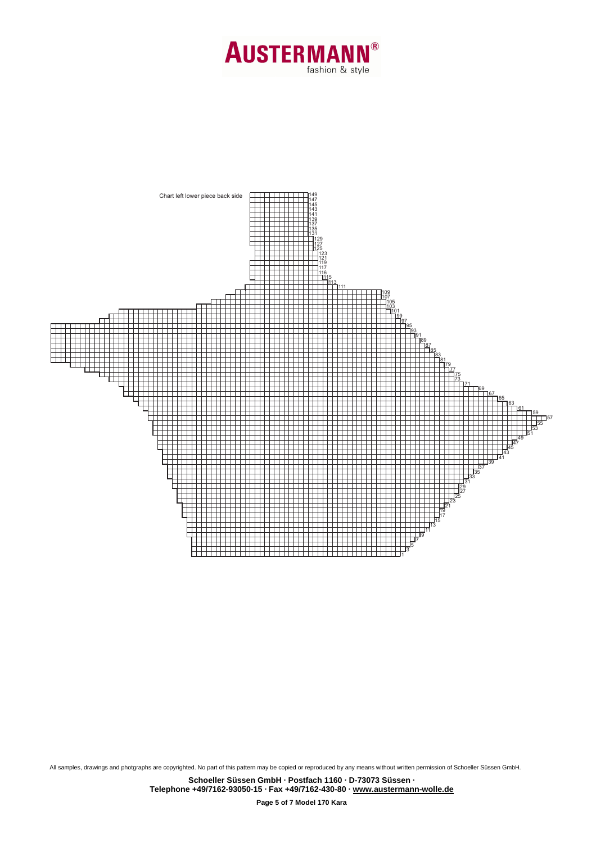



**Schoeller Süssen GmbH · Postfach 1160 · D-73073 Süssen · Telephone +49/7162-93050-15 · Fax +49/7162-430-80 · www.austermann-wolle.de**

**Page 5 of 7 Model 170 Kara**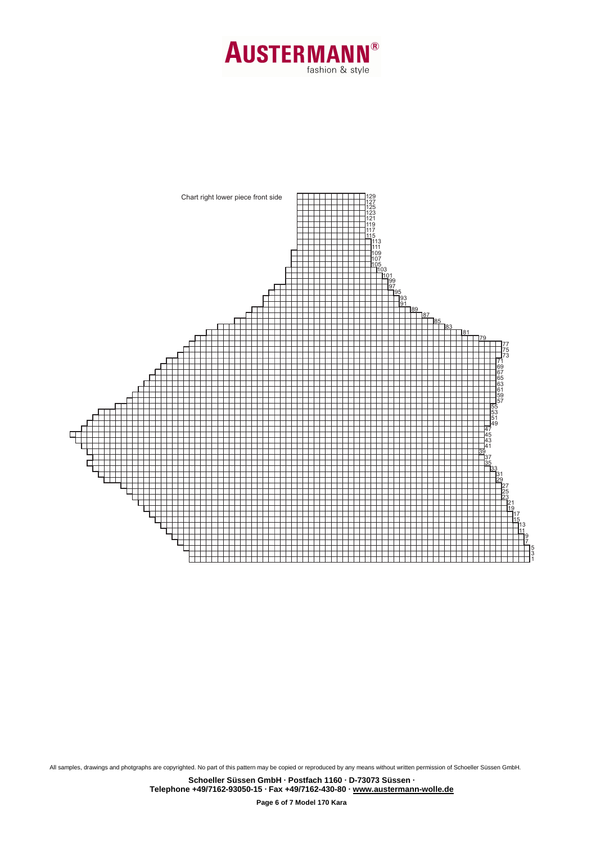



**Schoeller Süssen GmbH · Postfach 1160 · D-73073 Süssen · Telephone +49/7162-93050-15 · Fax +49/7162-430-80 · www.austermann-wolle.de**

**Page 6 of 7 Model 170 Kara**